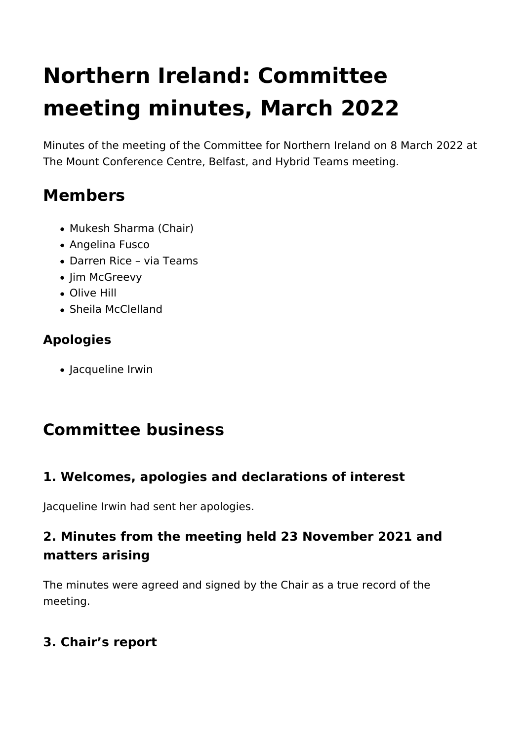# **Northern Ireland: Committee meeting minutes, March 2022**

Minutes of the meeting of the Committee for Northern Ireland on 8 March 2022 at The Mount Conference Centre, Belfast, and Hybrid Teams meeting.

# **Members**

- Mukesh Sharma (Chair)
- Angelina Fusco
- Darren Rice via Teams
- Jim McGreevy
- Olive Hill
- Sheila McClelland

# **Apologies**

Jacqueline Irwin

# **Committee business**

# **1. Welcomes, apologies and declarations of interest**

Jacqueline Irwin had sent her apologies.

# **2. Minutes from the meeting held 23 November 2021 and matters arising**

The minutes were agreed and signed by the Chair as a true record of the meeting.

# **3. Chair's report**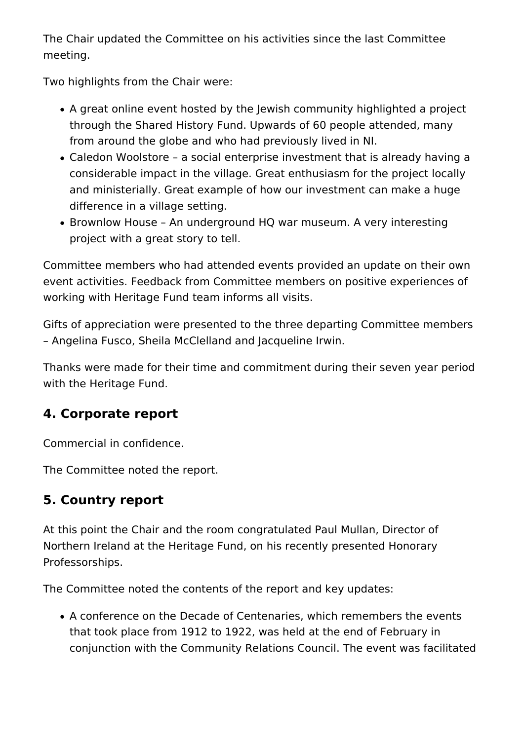The Chair updated the Committee on his activities since the last Committee meeting.

Two highlights from the Chair were:

- A great online event hosted by the Jewish community highlighted a project through the Shared History Fund. Upwards of 60 people attended, many from around the globe and who had previously lived in NI.
- Caledon Woolstore a social enterprise investment that is already having a considerable impact in the village. Great enthusiasm for the project locally and ministerially. Great example of how our investment can make a huge difference in a village setting.
- Brownlow House An underground HQ war museum. A very interesting project with a great story to tell.

Committee members who had attended events provided an update on their own event activities. Feedback from Committee members on positive experiences of working with Heritage Fund team informs all visits.

Gifts of appreciation were presented to the three departing Committee members – Angelina Fusco, Sheila McClelland and Jacqueline Irwin.

Thanks were made for their time and commitment during their seven year period with the Heritage Fund.

### **4. Corporate report**

Commercial in confidence.

The Committee noted the report.

# **5. Country report**

At this point the Chair and the room congratulated Paul Mullan, Director of Northern Ireland at the Heritage Fund, on his recently presented Honorary Professorships.

The Committee noted the contents of the report and key updates:

A conference on the Decade of Centenaries, which remembers the events that took place from 1912 to 1922, was held at the end of February in conjunction with the Community Relations Council. The event was facilitated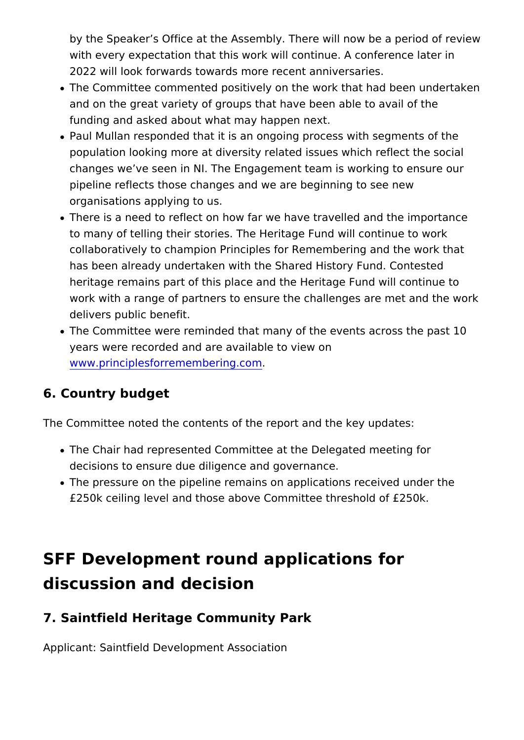by the Speaker s Office at the Assembly. There will now be with every expectation that this work will continue. A confer 2022 will look forwards towards more recent anniversaries.

- The Committee commented positively on the work that had b and on the great variety of groups that have been able to avail funding and asked about what may happen next.
- Paul Mullan responded that it is an ongoing process with se population looking more at diversity related issues which re changes we ve seen in NI. The Engagement team is working pipeline reflects those changes and we are beginning to see organisations applying to us.
- There is a need to reflect on how far we have travelled and to many of telling their stories. The Heritage Fund will cont collaboratively to champion Principles for Remembering and has been already undertaken with the Shared History Fund. heritage remains part of this place and the Heritage Fund w work with a range of partners to ensure the challenges are metally delivers public benefit.
- The Committee were reminded that many of the events acros years were recorded and are available to view on [www.principlesforremembe](http://www.principlesforremembering.com/)ring.com

#### 6. Country budget

The Committee noted the contents of the report and the key upd

- The Chair had represented Committee at the Delegated meet decisions to ensure due diligence and governance.
- The pressure on the pipeline remains on applications receiv £250k ceiling level and those above Committee threshold of

# SFF Development round applications for discussion and decision

#### 7. Saintfield Heritage Community Park

Applicant: Saintfield Development Association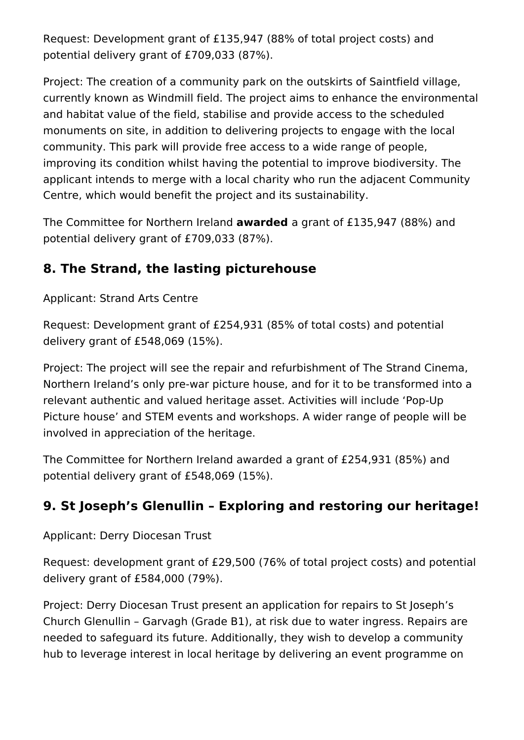Request: Development grant of £135,947 (88% of total project costs) and potential delivery grant of £709,033 (87%).

Project: The creation of a community park on the outskirts of Saintfield village, currently known as Windmill field. The project aims to enhance the environmental and habitat value of the field, stabilise and provide access to the scheduled monuments on site, in addition to delivering projects to engage with the local community. This park will provide free access to a wide range of people, improving its condition whilst having the potential to improve biodiversity. The applicant intends to merge with a local charity who run the adjacent Community Centre, which would benefit the project and its sustainability.

The Committee for Northern Ireland **awarded** a grant of £135,947 (88%) and potential delivery grant of £709,033 (87%).

#### **8. The Strand, the lasting picturehouse**

Applicant: Strand Arts Centre

Request: Development grant of £254,931 (85% of total costs) and potential delivery grant of £548,069 (15%).

Project: The project will see the repair and refurbishment of The Strand Cinema, Northern Ireland's only pre-war picture house, and for it to be transformed into a relevant authentic and valued heritage asset. Activities will include 'Pop-Up Picture house' and STEM events and workshops. A wider range of people will be involved in appreciation of the heritage.

The Committee for Northern Ireland awarded a grant of £254,931 (85%) and potential delivery grant of £548,069 (15%).

### **9. St Joseph's Glenullin – Exploring and restoring our heritage!**

Applicant: Derry Diocesan Trust

Request: development grant of £29,500 (76% of total project costs) and potential delivery grant of £584,000 (79%).

Project: Derry Diocesan Trust present an application for repairs to St Joseph's Church Glenullin – Garvagh (Grade B1), at risk due to water ingress. Repairs are needed to safeguard its future. Additionally, they wish to develop a community hub to leverage interest in local heritage by delivering an event programme on